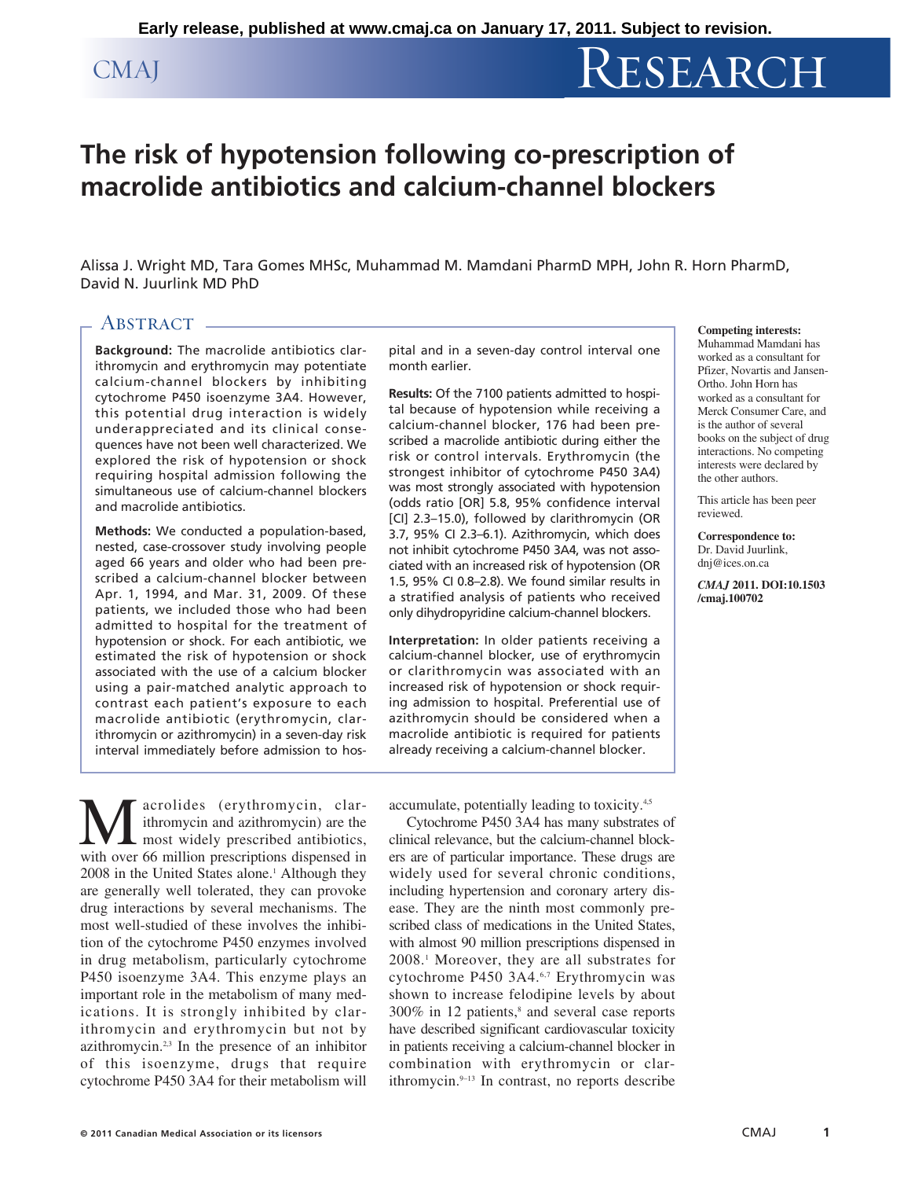# CMAJ RESEARCH

## **The risk of hypotension following co-prescription of macrolide antibiotics and calcium-channel blockers**

Alissa J. Wright MD, Tara Gomes MHSc, Muhammad M. Mamdani PharmD MPH, John R. Horn PharmD, David N. Juurlink MD PhD

### ABSTRACT.

**Background:** The macrolide antibiotics clarithromycin and erythromycin may potentiate calcium-channel blockers by inhibiting cytochrome P450 isoenzyme 3A4. However, this potential drug interaction is widely underappreciated and its clinical consequences have not been well characterized. We explored the risk of hypotension or shock requiring hospital admission following the simultaneous use of calcium-channel blockers and macrolide antibiotics.

**Methods:** We conducted a population-based, nested, case-crossover study involving people aged 66 years and older who had been prescribed a calcium-channel blocker between Apr. 1, 1994, and Mar. 31, 2009. Of these patients, we included those who had been admitted to hospital for the treatment of hypotension or shock. For each antibiotic, we estimated the risk of hypotension or shock associated with the use of a calcium blocker using a pair-matched analytic approach to contrast each patient's exposure to each macrolide antibiotic (erythromycin, clarithromycin or azithromycin) in a seven-day risk interval immediately before admission to hos-

**M** acrolides (erythromycin, clar-<br>ithromycin and azithromycin) are the<br>most widely prescribed antibiotics,<br>with over 66 million prescriptions dispensed in ithromycin and azithromycin) are the most widely prescribed antibiotics, with over 66 million prescriptions dispensed in 2008 in the United States alone.<sup>1</sup> Although they are generally well tolerated, they can provoke drug interactions by several mechanisms. The most well-studied of these involves the inhibition of the cytochrome P450 enzymes involved in drug metabolism, particularly cytochrome P450 isoenzyme 3A4. This enzyme plays an important role in the metabolism of many medications. It is strongly inhibited by clarithromycin and erythromycin but not by azithromycin.<sup>2,3</sup> In the presence of an inhibitor of this isoenzyme, drugs that require cytochrome P450 3A4 for their metabolism will pital and in a seven-day control interval one month earlier.

**Results:** Of the 7100 patients admitted to hospital because of hypotension while receiving a calcium-channel blocker, 176 had been prescribed a macrolide antibiotic during either the risk or control intervals. Erythromycin (the strongest inhibitor of cytochrome P450 3A4) was most strongly associated with hypotension (odds ratio [OR] 5.8, 95% confidence interval [CI] 2.3–15.0), followed by clarithromycin (OR 3.7, 95% CI 2.3–6.1). Azithromycin, which does not inhibit cytochrome P450 3A4, was not associated with an increased risk of hypotension (OR 1.5, 95% CI 0.8–2.8). We found similar results in a stratified analysis of patients who received only dihydropyridine calcium-channel blockers.

**Interpretation:** In older patients receiving a calcium-channel blocker, use of erythromycin or clarithromycin was associated with an increased risk of hypotension or shock requiring admission to hospital. Preferential use of azithromycin should be considered when a macrolide antibiotic is required for patients already receiving a calcium-channel blocker.

**Competing interests:** Muhammad Mamdani has

worked as a consultant for Pfizer, Novartis and Jansen-Ortho. John Horn has worked as a consultant for Merck Consumer Care, and is the author of several books on the subject of drug interactions. No competing interests were declared by the other authors.

This article has been peer reviewed.

**Correspondence to:** Dr. David Juurlink, dni@ices.on.ca

*CMAJ* **2011. DOI:10.1503 /cmaj.100702**

accumulate, potentially leading to toxicity.4,5

Cytochrome P450 3A4 has many substrates of clinical relevance, but the calcium-channel blockers are of particular importance. These drugs are widely used for several chronic conditions, including hypertension and coronary artery disease. They are the ninth most commonly prescribed class of medications in the United States, with almost 90 million prescriptions dispensed in 2008.1 Moreover, they are all substrates for cytochrome P450 3A4.<sup>6,7</sup> Erythromycin was shown to increase felodipine levels by about  $300\%$  in 12 patients,<sup>8</sup> and several case reports have described significant cardiovascular toxicity in patients receiving a calcium-channel blocker in combination with erythromycin or clarithromycin.9–13 In contrast, no reports describe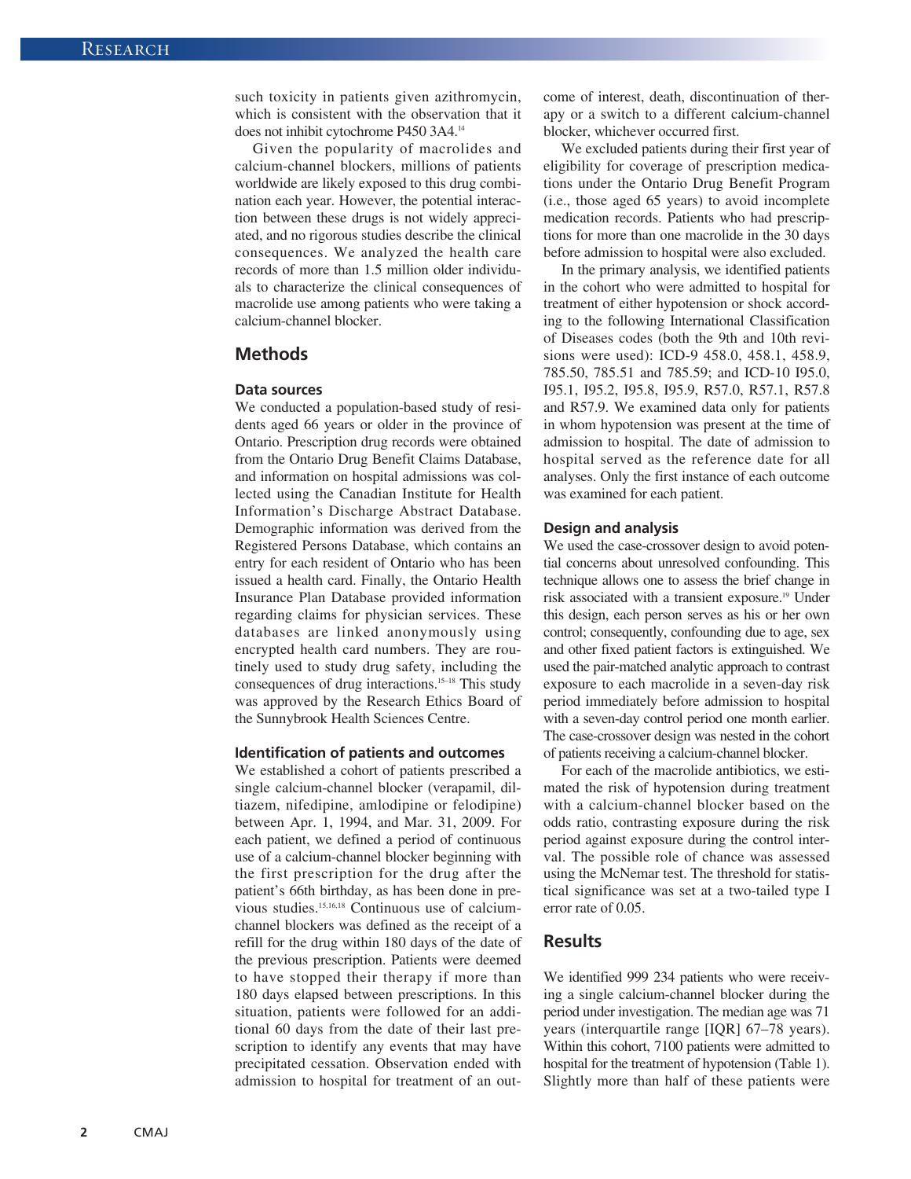such toxicity in patients given azithromycin, which is consistent with the observation that it does not inhibit cytochrome P450 3A4.14

Given the popularity of macrolides and calcium -channel blockers, millions of patients worldwide are likely exposed to this drug combination each year. However, the potential interaction between these drugs is not widely appreciated, and no rigorous studies describe the clinical consequences. We analyzed the health care records of more than 1.5 million older individuals to characterize the clinical consequences of macrolide use among patients who were taking a calcium-channel blocker.

#### **Methods**

#### **Data sources**

We conducted a population-based study of residents aged 66 years or older in the province of Ontario. Prescription drug records were obtained from the Ontario Drug Benefit Claims Database, and information on hospital admissions was collected using the Canadian Institute for Health Information's Discharge Abstract Database. Demographic information was derived from the Registered Persons Database, which contains an entry for each resident of Ontario who has been issued a health card. Finally, the Ontario Health Insurance Plan Database provided information regarding claims for physician services. These databases are linked anonymously using encrypted health card numbers. They are routinely used to study drug safety, including the consequences of drug interactions.15–18 This study was approved by the Research Ethics Board of the Sunnybrook Health Sciences Centre.

#### **Identification of patients and outcomes**

We established a cohort of patients prescribed a single calcium-channel blocker (verapamil, diltiazem, nifedipine, amlodipine or felodipine) between Apr. 1, 1994, and Mar. 31, 2009. For each patient, we defined a period of continuous use of a calcium-channel blocker beginning with the first prescription for the drug after the patient's 66th birthday, as has been done in previous studies.15,16,18 Continuous use of calciumchannel blockers was defined as the receipt of a refill for the drug within 180 days of the date of the previous prescription. Patients were deemed to have stopped their therapy if more than 180 days elapsed between prescriptions. In this situation, patients were followed for an additional 60 days from the date of their last prescription to identify any events that may have precipitated cessation. Observation ended with admission to hospital for treatment of an outcome of interest, death, discontinuation of therapy or a switch to a different calcium-channel blocker, whichever occurred first.

We excluded patients during their first year of eligibility for coverage of prescription medications under the Ontario Drug Benefit Program (i.e., those aged 65 years) to avoid incomplete medication records. Patients who had prescriptions for more than one macrolide in the 30 days before admission to hospital were also excluded.

In the primary analysis, we identified patients in the cohort who were admitted to hospital for treatment of either hypotension or shock according to the following International Classification of Diseases codes (both the 9th and 10th revisions were used): ICD-9 458.0, 458.1, 458.9, 785.50, 785.51 and 785.59; and ICD-10 I95.0, I95.1, I95.2, I95.8, I95.9, R57.0, R57.1, R57.8 and R57.9. We examined data only for patients in whom hypotension was present at the time of admission to hospital. The date of admission to hospital served as the reference date for all analyses. Only the first instance of each outcome was examined for each patient.

#### **Design and analysis**

We used the case-crossover design to avoid potential concerns about unresolved confounding. This technique allows one to assess the brief change in risk associated with a transient exposure.19 Under this design, each person serves as his or her own control; consequently, confounding due to age, sex and other fixed patient factors is extinguished. We used the pair-matched analytic approach to contrast exposure to each macrolide in a seven-day risk period immediately before admission to hospital with a seven-day control period one month earlier. The case-crossover design was nested in the cohort of patients receiving a calcium-channel blocker.

For each of the macrolide antibiotics, we estimated the risk of hypotension during treatment with a calcium-channel blocker based on the odds ratio, contrasting exposure during the risk period against exposure during the control interval. The possible role of chance was assessed using the McNemar test. The threshold for statistical significance was set at a two-tailed type I error rate of 0.05.

#### **Results**

We identified 999 234 patients who were receiving a single calcium-channel blocker during the period under investigation. The median age was 71 years (interquartile range [IQR] 67–78 years). Within this cohort, 7100 patients were admitted to hospital for the treatment of hypotension (Table 1). Slightly more than half of these patients were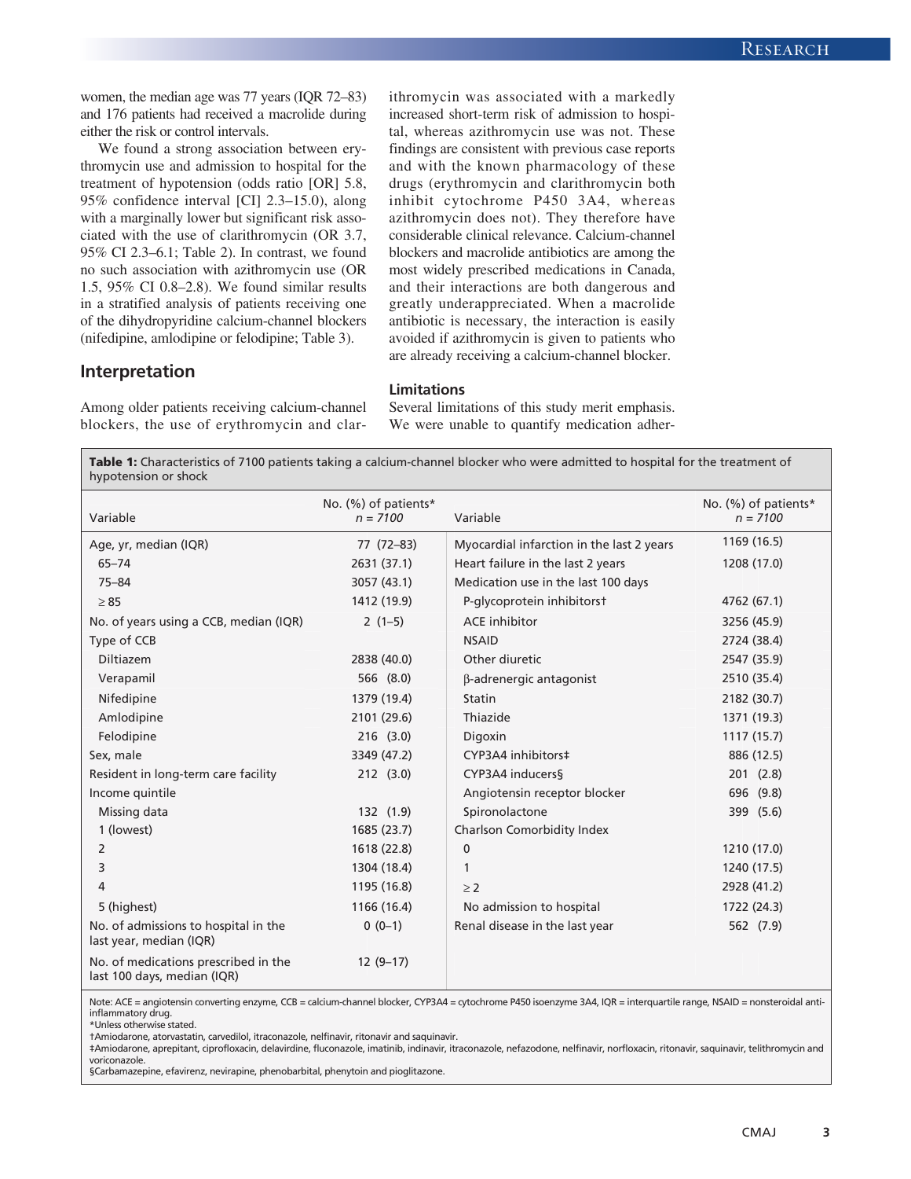women, the median age was 77 years (IQR 72–83) and 176 patients had received a macrolide during either the risk or control intervals.

We found a strong association between erythromycin use and admission to hospital for the treatment of hypotension (odds ratio [OR] 5.8, 95% confidence interval [CI] 2.3–15.0), along with a marginally lower but significant risk associated with the use of clarithromycin (OR 3.7, 95% CI 2.3–6.1; Table 2). In contrast, we found no such association with azithromycin use (OR 1.5, 95% CI 0.8–2.8). We found similar results in a stratified analysis of patients receiving one of the dihydropyridine calcium-channel blockers (nifedipine, amlodipine or felodipine; Table 3).

ithromycin was associated with a markedly increased short-term risk of admission to hospital, whereas azithromycin use was not. These findings are consistent with previous case reports and with the known pharmacology of these drugs (erythromycin and clarithromycin both inhibit cytochrome P450 3A4, whereas azithromycin does not). They therefore have considerable clinical relevance. Calcium-channel blockers and macrolide antibiotics are among the most widely prescribed medications in Canada, and their interactions are both dangerous and greatly underappreciated. When a macrolide antibiotic is necessary, the interaction is easily avoided if azithromycin is given to patients who are already receiving a calcium-channel blocker.

#### **Interpretation**

Among older patients receiving calcium-channel blockers, the use of erythromycin and clarSeveral limitations of this study merit emphasis. We were unable to quantify medication adher-

**Table 1:** Characteristics of 7100 patients taking a calcium-channel blocker who were admitted to hospital for the treatment of hypotension or shock

**Limitations**

| Variable                                                            | No. (%) of patients*<br>$n = 7100$ | Variable                                  | No. (%) of patients*<br>$n = 7100$ |
|---------------------------------------------------------------------|------------------------------------|-------------------------------------------|------------------------------------|
| Age, yr, median (IQR)                                               | 77 (72-83)                         | Myocardial infarction in the last 2 years | 1169 (16.5)                        |
| $65 - 74$                                                           | 2631 (37.1)                        | Heart failure in the last 2 years         | 1208 (17.0)                        |
| $75 - 84$                                                           | 3057 (43.1)                        | Medication use in the last 100 days       |                                    |
| $\geq 85$                                                           | 1412 (19.9)                        | P-glycoprotein inhibitorst                | 4762 (67.1)                        |
| No. of years using a CCB, median (IQR)                              | $2(1-5)$                           | <b>ACE</b> inhibitor                      | 3256 (45.9)                        |
| Type of CCB                                                         |                                    | <b>NSAID</b>                              | 2724 (38.4)                        |
| Diltiazem                                                           | 2838 (40.0)                        | Other diuretic                            | 2547 (35.9)                        |
| Verapamil                                                           | 566 (8.0)                          | β-adrenergic antagonist                   | 2510 (35.4)                        |
| Nifedipine                                                          | 1379 (19.4)                        | Statin                                    | 2182 (30.7)                        |
| Amlodipine                                                          | 2101 (29.6)                        | Thiazide                                  | 1371 (19.3)                        |
| Felodipine                                                          | $216$ $(3.0)$                      | Digoxin                                   | 1117 (15.7)                        |
| Sex, male                                                           | 3349 (47.2)                        | CYP3A4 inhibitors‡                        | 886 (12.5)                         |
| Resident in long-term care facility                                 | 212(3.0)                           | CYP3A4 inducers§                          | 201(2.8)                           |
| Income quintile                                                     |                                    | Angiotensin receptor blocker              | 696 (9.8)                          |
| Missing data                                                        | 132 (1.9)                          | Spironolactone                            | 399 (5.6)                          |
| 1 (lowest)                                                          | 1685 (23.7)                        | Charlson Comorbidity Index                |                                    |
| 2                                                                   | 1618 (22.8)                        | $\pmb{0}$                                 | 1210 (17.0)                        |
| 3                                                                   | 1304 (18.4)                        | 1                                         | 1240 (17.5)                        |
| 4                                                                   | 1195 (16.8)                        | $\geq$ 2                                  | 2928 (41.2)                        |
| 5 (highest)                                                         | 1166 (16.4)                        | No admission to hospital                  | 1722 (24.3)                        |
| No. of admissions to hospital in the<br>last year, median (IQR)     | $0(0-1)$                           | Renal disease in the last year            | 562 (7.9)                          |
| No. of medications prescribed in the<br>last 100 days, median (IQR) | $12(9-17)$                         |                                           |                                    |

Note: ACE = angiotensin converting enzyme, CCB = calcium-channel blocker, CYP3A4 = cytochrome P450 isoenzyme 3A4, IQR = interquartile range, NSAID = nonsteroidal antiinflammatory drug.

\*Unless otherwise stated.

†Amiodarone, atorvastatin, carvedilol, itraconazole, nelfinavir, ritonavir and saquinavir.

‡Amiodarone, aprepitant, ciprofloxacin, delavirdine, fluconazole, imatinib, indinavir, itraconazole, nefazodone, nelfinavir, norfloxacin, ritonavir, saquinavir, telithromycin and voriconazole.

§Carbamazepine, efavirenz, nevirapine, phenobarbital, phenytoin and pioglitazone.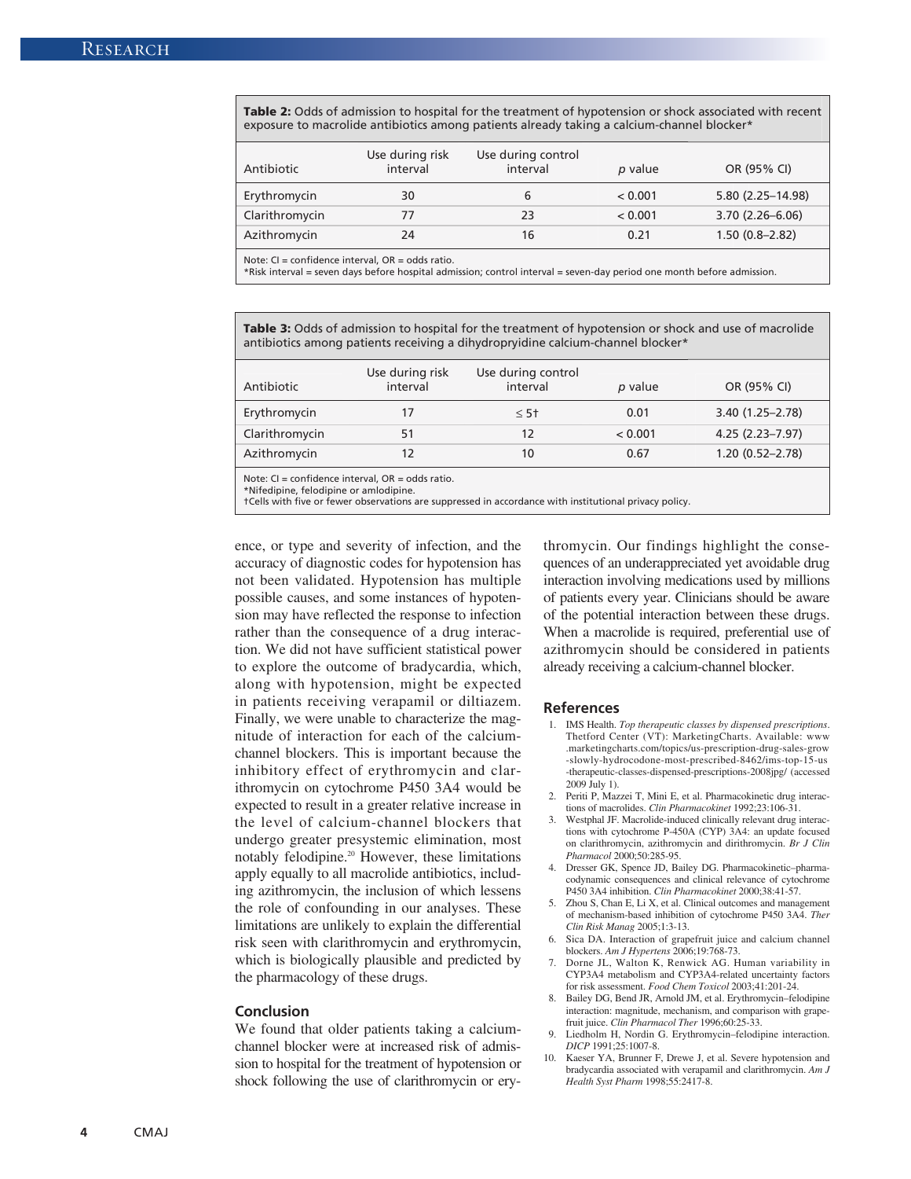**Table 2:** Odds of admission to hospital for the treatment of hypotension or shock associated with recent exposure to macrolide antibiotics among patients already taking a calcium-channel blocker\*

| Antibiotic     | Use during risk<br>interval | Use during control<br>interval | p value | OR (95% CI)         |
|----------------|-----------------------------|--------------------------------|---------|---------------------|
| Erythromycin   | 30                          | b                              | < 0.001 | 5.80 (2.25-14.98)   |
| Clarithromycin | 77                          | 23                             | < 0.001 | $3.70(2.26 - 6.06)$ |
| Azithromycin   | 24                          | 16                             | 0.21    | $1.50(0.8 - 2.82)$  |

Note:  $Cl =$  confidence interval,  $OR =$  odds ratio.

\*Risk interval = seven days before hospital admission; control interval = seven-day period one month before admission.

**Table 3:** Odds of admission to hospital for the treatment of hypotension or shock and use of macrolide antibiotics among patients receiving a dihydropryidine calcium-channel blocker\*

| Antibiotic     | Use during risk<br>interval | Use during control<br>interval | p value | OR (95% CI)         |
|----------------|-----------------------------|--------------------------------|---------|---------------------|
| Erythromycin   |                             | $< 5+$                         | 0.01    | $3.40(1.25 - 2.78)$ |
| Clarithromycin |                             |                                | < 0.001 | $4.25(2.23 - 7.97)$ |
| Azithromycin   |                             | 10                             | 0.67    | $1.20(0.52 - 2.78)$ |

Note: CI = confidence interval, OR = odds ratio.

\*Nifedipine, felodipine or amlodipine.

†Cells with five or fewer observations are suppressed in accordance with institutional privacy policy.

ence, or type and severity of infection, and the accuracy of diagnostic codes for hypotension has not been validated. Hypotension has multiple possible causes, and some instances of hypotension may have reflected the response to infection rather than the consequence of a drug interaction. We did not have sufficient statistical power to explore the outcome of bradycardia, which, along with hypotension, might be expected in patients receiving verapamil or diltiazem. Finally, we were unable to characterize the magnitude of interaction for each of the calciumchannel blockers. This is important because the inhibitory effect of erythromycin and clarithromycin on cytochrome P450 3A4 would be expected to result in a greater relative increase in the level of calcium-channel blockers that undergo greater presystemic elimination, most notably felodipine.20 However, these limitations apply equally to all macrolide antibiotics, including azithromycin, the inclusion of which lessens the role of confounding in our analyses. These limitations are unlikely to explain the differential risk seen with clarithromycin and erythromycin, which is biologically plausible and predicted by the pharmacology of these drugs.

#### **Conclusion**

We found that older patients taking a calciumchannel blocker were at increased risk of admission to hospital for the treatment of hypotension or shock following the use of clarithromycin or erythromycin. Our findings highlight the consequences of an underappreciated yet avoidable drug interaction involving medications used by millions of patients every year. Clinicians should be aware of the potential interaction between these drugs. When a macrolide is required, preferential use of azithromycin should be considered in patients already receiving a calcium-channel blocker.

#### **References**

- 1. IMS Health. *Top therapeutic classes by dispensed prescriptions*. Thetford Center (VT): MarketingCharts. Available: www .marketingcharts .com /topics /us -prescription -drug -sales -grow -slowly -hydrocodone -most -prescribed -8462 /ims -top -15 -us -therapeutic-classes-dispensed-prescriptions-2008jpg/ (accessed 2009 July 1).
- 2. Periti P, Mazzei T, Mini E, et al. Pharmacokinetic drug interactions of macrolides. *Clin Pharmacokinet* 1992;23:106-31.
- 3. Westphal JF. Macrolide-induced clinically relevant drug interactions with cytochrome P-450A (CYP) 3A4: an update focused on clarithromycin, azithromycin and dirithromycin. *Br J Clin Pharmacol* 2000;50:285-95.
- 4. Dresser GK, Spence JD, Bailey DG. Pharmacokinetic–pharmacodynamic consequences and clinical relevance of cytochrome P450 3A4 inhibition. *Clin Pharmacokinet* 2000;38:41-57.
- 5. Zhou S, Chan E, Li X, et al. Clinical outcomes and management of mechanism-based inhibition of cytochrome P450 3A4. *Ther Clin Risk Manag* 2005;1:3-13.
- Sica DA. Interaction of grapefruit juice and calcium channel blockers. *Am J Hypertens* 2006;19:768-73.
- 7. Dorne JL, Walton K, Renwick AG. Human variability in CYP3A4 metabolism and CYP3A4-related uncertainty factors for risk assessment. *Food Chem Toxicol* 2003;41:201-24.
- 8. Bailey DG, Bend JR, Arnold JM, et al. Erythromycin–felodipine interaction: magnitude, mechanism, and comparison with grapefruit juice. *Clin Pharmacol Ther* 1996;60:25-33.
- 9. Liedholm H, Nordin G. Erythromycin–felodipine interaction. *DICP* 1991;25:1007-8.
- 10. Kaeser YA, Brunner F, Drewe J, et al. Severe hypotension and bradycardia associated with verapamil and clarithromycin. *Am J Health Syst Pharm* 1998;55:2417-8.